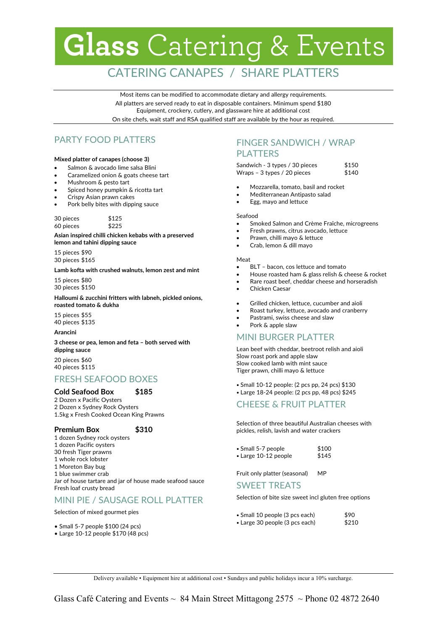# **Glass** Catering & Events

# CATERING CANAPES / SHARE PLATTERS

Most items can be modified to accommodate dietary and allergy requirements. All platters are served ready to eat in disposable containers. Minimum spend \$180 Equipment, crockery, cutlery, and glassware hire at additional cost On site chefs, wait staff and RSA qualified staff are available by the hour as required.

# PARTY FOOD PLATTERS

#### **Mixed platter of canapes (choose 3)**

- Salmon & avocado lime salsa Blini
- Caramelized onion & goats cheese tart
- Mushroom & pesto tart
- Spiced honey pumpkin & ricotta tart
- Crispy Asian prawn cakes
- Pork belly bites with dipping sauce

| 30 pieces | \$125 |
|-----------|-------|
| 60 pieces | \$225 |

**Asian inspired chilli chicken kebabs with a preserved lemon and tahini dipping sauce** 

15 pieces \$90 30 pieces \$165

**Lamb kofta with crushed walnuts, lemon zest and mint** 

15 pieces \$80 30 pieces \$150

**Halloumi & zucchini fritters with labneh, pickled onions, roasted tomato & dukha**

15 pieces \$55 40 pieces \$135

#### **Arancini**

**3 cheese or pea, lemon and feta – both served with dipping sauce**

20 pieces \$60 40 pieces \$115

# FRESH SEAFOOD BOXES

#### **Cold Seafood Box \$185**

2 Dozen x Pacific Oysters 2 Dozen x Sydney Rock Oysters 1.5kg x Fresh Cooked Ocean King Prawns

#### **Premium Box \$310**

1 dozen Sydney rock oysters 1 dozen Pacific oysters 30 fresh Tiger prawns 1 whole rock lobster 1 Moreton Bay bug 1 blue swimmer crab Jar of house tartare and jar of house made seafood sauce Fresh loaf crusty bread

## MINI PIE / SAUSAGE ROLL PLATTER

Selection of mixed gourmet pies

- Small 5-7 people \$100 (24 pcs)
- Large 10-12 people \$170 (48 pcs)

# FINGER SANDWICH / WRAP PLATTERS

Sandwich - 3 types / 30 pieces \$150 Wraps –  $3$  types  $/$  20 pieces  $$140$ 

- Mozzarella, tomato, basil and rocket
- Mediterranean Antipasto salad
- Egg, mayo and lettuce

#### Seafood

- Smoked Salmon and Crème Fraîche, microgreens
- Fresh prawns, citrus avocado, lettuce
- Prawn, chilli mayo & lettuce
- Crab, lemon & dill mayo

#### Meat

- BLT bacon, cos lettuce and tomato
- House roasted ham & glass relish & cheese & rocket
- Rare roast beef, cheddar cheese and horseradish
- Chicken Caesar
- Grilled chicken, lettuce, cucumber and aioli
- Roast turkey, lettuce, avocado and cranberry
- Pastrami, swiss cheese and slaw
- Pork & apple slaw

## MINI BURGER PLATTER

Lean beef with cheddar, beetroot relish and aioli Slow roast pork and apple slaw Slow cooked lamb with mint sauce Tiger prawn, chilli mayo & lettuce

**•** Small 10-12 people: (2 pcs pp, 24 pcs) \$130

**•** Large 18-24 people: (2 pcs pp, 48 pcs) \$245

### CHEESE & FRUIT PLATTER

Selection of three beautiful Australian cheeses with pickles, relish, lavish and water crackers

| • Small 5-7 people   | \$100 |
|----------------------|-------|
| • Large 10-12 people | \$145 |

Fruit only platter (seasonal) MP

### SWEET TREATS

Selection of bite size sweet incl gluten free options

| • Small 10 people (3 pcs each) | \$90  |
|--------------------------------|-------|
| • Large 30 people (3 pcs each) | \$210 |

Delivery available • Equipment hire at additional cost • Sundays and public holidays incur a 10% surcharge.